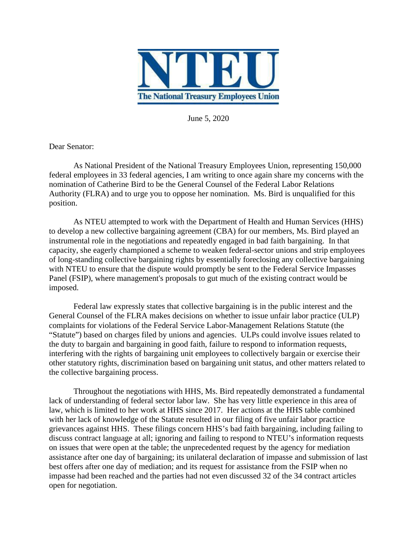

June 5, 2020

Dear Senator:

As National President of the National Treasury Employees Union, representing 150,000 federal employees in 33 federal agencies, I am writing to once again share my concerns with the nomination of Catherine Bird to be the General Counsel of the Federal Labor Relations Authority (FLRA) and to urge you to oppose her nomination. Ms. Bird is unqualified for this position.

As NTEU attempted to work with the Department of Health and Human Services (HHS) to develop a new collective bargaining agreement (CBA) for our members, Ms. Bird played an instrumental role in the negotiations and repeatedly engaged in bad faith bargaining. In that capacity, she eagerly championed a scheme to weaken federal-sector unions and strip employees of long-standing collective bargaining rights by essentially foreclosing any collective bargaining with NTEU to ensure that the dispute would promptly be sent to the Federal Service Impasses Panel (FSIP), where management's proposals to gut much of the existing contract would be imposed.

Federal law expressly states that collective bargaining is in the public interest and the General Counsel of the FLRA makes decisions on whether to issue unfair labor practice (ULP) complaints for violations of the Federal Service Labor-Management Relations Statute (the "Statute") based on charges filed by unions and agencies. ULPs could involve issues related to the duty to bargain and bargaining in good faith, failure to respond to information requests, interfering with the rights of bargaining unit employees to collectively bargain or exercise their other statutory rights, discrimination based on bargaining unit status, and other matters related to the collective bargaining process.

Throughout the negotiations with HHS, Ms. Bird repeatedly demonstrated a fundamental lack of understanding of federal sector labor law. She has very little experience in this area of law, which is limited to her work at HHS since 2017. Her actions at the HHS table combined with her lack of knowledge of the Statute resulted in our filing of five unfair labor practice grievances against HHS. These filings concern HHS's bad faith bargaining, including failing to discuss contract language at all; ignoring and failing to respond to NTEU's information requests on issues that were open at the table; the unprecedented request by the agency for mediation assistance after one day of bargaining; its unilateral declaration of impasse and submission of last best offers after one day of mediation; and its request for assistance from the FSIP when no impasse had been reached and the parties had not even discussed 32 of the 34 contract articles open for negotiation.